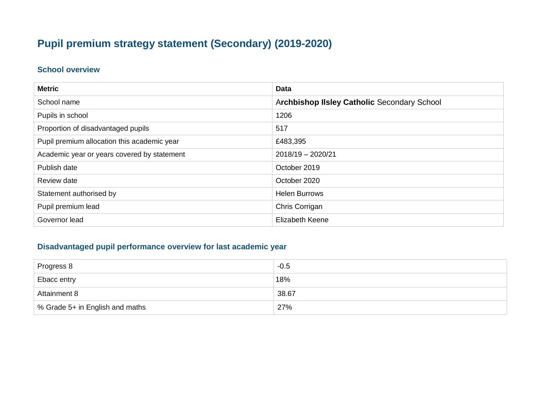# **Pupil premium strategy statement (Secondary) (2019-2020)**

#### **School overview**

| <b>Metric</b>                               | <b>Data</b>                                 |
|---------------------------------------------|---------------------------------------------|
| School name                                 | Archbishop IIsley Catholic Secondary School |
| Pupils in school                            | 1206                                        |
| Proportion of disadvantaged pupils          | 517                                         |
| Pupil premium allocation this academic year | £483,395                                    |
| Academic year or years covered by statement | $2018/19 - 2020/21$                         |
| Publish date                                | October 2019                                |
| Review date                                 | October 2020                                |
| Statement authorised by                     | <b>Helen Burrows</b>                        |
| Pupil premium lead                          | Chris Corrigan                              |
| Governor lead                               | <b>Elizabeth Keene</b>                      |

### **Disadvantaged pupil performance overview for last academic year**

| Progress 8                      | $-0.5$ |
|---------------------------------|--------|
| Ebacc entry                     | ່ 18%  |
| <b>Attainment 8</b>             | 38.67  |
| % Grade 5+ in English and maths | 27%    |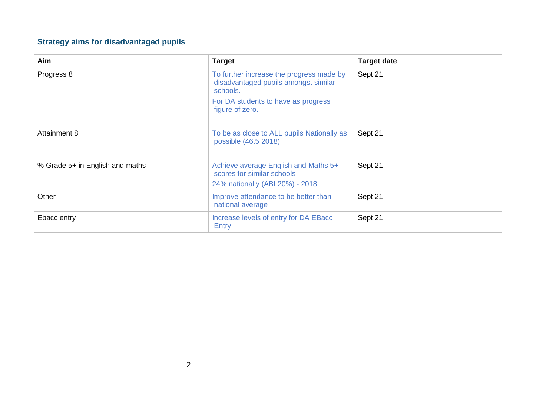# **Strategy aims for disadvantaged pupils**

| Aim                             | <b>Target</b>                                                                                                                                          | <b>Target date</b> |
|---------------------------------|--------------------------------------------------------------------------------------------------------------------------------------------------------|--------------------|
| Progress 8                      | To further increase the progress made by<br>disadvantaged pupils amongst similar<br>schools.<br>For DA students to have as progress<br>figure of zero. | Sept 21            |
| Attainment 8                    | To be as close to ALL pupils Nationally as<br>possible (46.5 2018)                                                                                     | Sept 21            |
| % Grade 5+ in English and maths | Achieve average English and Maths 5+<br>scores for similar schools<br>24% nationally (ABI 20%) - 2018                                                  | Sept 21            |
| Other                           | Improve attendance to be better than<br>national average                                                                                               | Sept 21            |
| Ebacc entry                     | Increase levels of entry for DA EBacc<br>Entry                                                                                                         | Sept 21            |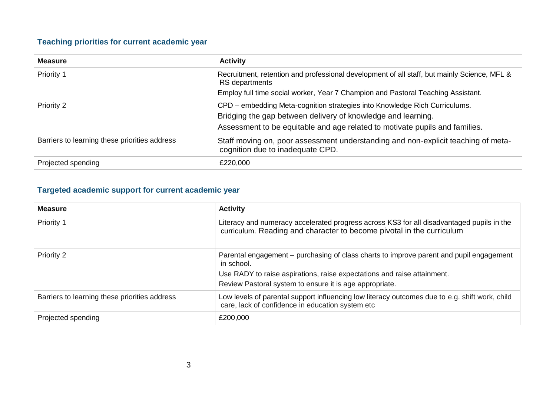### **Teaching priorities for current academic year**

| <b>Measure</b>                                | <b>Activity</b>                                                                                                                                                                                                           |
|-----------------------------------------------|---------------------------------------------------------------------------------------------------------------------------------------------------------------------------------------------------------------------------|
| Priority 1                                    | Recruitment, retention and professional development of all staff, but mainly Science, MFL &<br>RS departments                                                                                                             |
|                                               | Employ full time social worker, Year 7 Champion and Pastoral Teaching Assistant.                                                                                                                                          |
| Priority 2                                    | CPD – embedding Meta-cognition strategies into Knowledge Rich Curriculums.<br>Bridging the gap between delivery of knowledge and learning.<br>Assessment to be equitable and age related to motivate pupils and families. |
| Barriers to learning these priorities address | Staff moving on, poor assessment understanding and non-explicit teaching of meta-<br>cognition due to inadequate CPD.                                                                                                     |
| Projected spending                            | £220,000                                                                                                                                                                                                                  |

### **Targeted academic support for current academic year**

| <b>Measure</b>                                | <b>Activity</b>                                                                                                                                                                                                                             |
|-----------------------------------------------|---------------------------------------------------------------------------------------------------------------------------------------------------------------------------------------------------------------------------------------------|
| Priority 1                                    | Literacy and numeracy accelerated progress across KS3 for all disadvantaged pupils in the<br>curriculum. Reading and character to become pivotal in the curriculum                                                                          |
| Priority 2                                    | Parental engagement – purchasing of class charts to improve parent and pupil engagement<br>in school.<br>Use RADY to raise aspirations, raise expectations and raise attainment.<br>Review Pastoral system to ensure it is age appropriate. |
| Barriers to learning these priorities address | Low levels of parental support influencing low literacy outcomes due to e.g. shift work, child<br>care, lack of confidence in education system etc                                                                                          |
| Projected spending                            | £200,000                                                                                                                                                                                                                                    |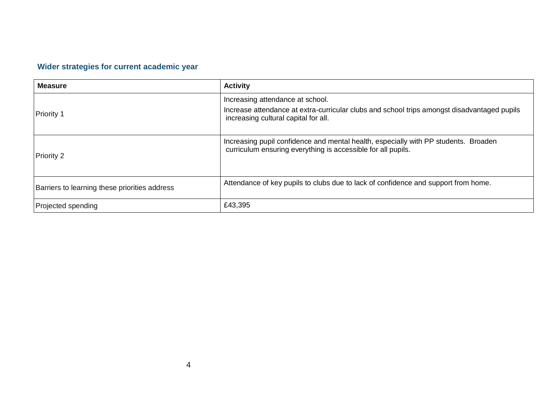# **Wider strategies for current academic year**

| <b>Measure</b>                                | <b>Activity</b>                                                                                                                                                         |
|-----------------------------------------------|-------------------------------------------------------------------------------------------------------------------------------------------------------------------------|
| Priority 1                                    | Increasing attendance at school.<br>Increase attendance at extra-curricular clubs and school trips amongst disadvantaged pupils<br>increasing cultural capital for all. |
| Priority 2                                    | Increasing pupil confidence and mental health, especially with PP students. Broaden<br>curriculum ensuring everything is accessible for all pupils.                     |
| Barriers to learning these priorities address | Attendance of key pupils to clubs due to lack of confidence and support from home.                                                                                      |
| Projected spending                            | £43,395                                                                                                                                                                 |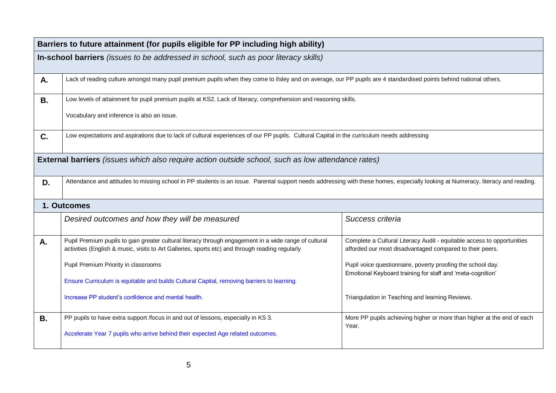|             | Barriers to future attainment (for pupils eligible for PP including high ability)                                                                                                                        |                                                                                                                                    |  |
|-------------|----------------------------------------------------------------------------------------------------------------------------------------------------------------------------------------------------------|------------------------------------------------------------------------------------------------------------------------------------|--|
|             | In-school barriers (issues to be addressed in school, such as poor literacy skills)                                                                                                                      |                                                                                                                                    |  |
| Α.          | Lack of reading culture amongst many pupil premium pupils when they come to Ilsley and on average, our PP pupils are 4 standardised points behind national others.                                       |                                                                                                                                    |  |
| <b>B.</b>   | Low levels of attainment for pupil premium pupils at KS2. Lack of literacy, comprehension and reasoning skills.                                                                                          |                                                                                                                                    |  |
|             | Vocabulary and inference is also an issue.                                                                                                                                                               |                                                                                                                                    |  |
| C.          | Low expectations and aspirations due to lack of cultural experiences of our PP pupils. Cultural Capital in the curriculum needs addressing                                                               |                                                                                                                                    |  |
|             | <b>External barriers</b> (issues which also require action outside school, such as low attendance rates)                                                                                                 |                                                                                                                                    |  |
| D.          | Attendance and attitudes to missing school in PP students is an issue. Parental support needs addressing with these homes, especially looking at Numeracy, literacy and reading.                         |                                                                                                                                    |  |
| 1. Outcomes |                                                                                                                                                                                                          |                                                                                                                                    |  |
|             | Desired outcomes and how they will be measured                                                                                                                                                           | Success criteria                                                                                                                   |  |
| A.          | Pupil Premium pupils to gain greater cultural literacy through engagement in a wide range of cultural<br>activities (English & music, visits to Art Galleries, sports etc) and through reading regularly | Complete a Cultural Literacy Audit - equitable access to opportunities<br>afforded our most disadvantaged compared to their peers. |  |
|             | Pupil Premium Priority in classrooms                                                                                                                                                                     | Pupil voice questionnaire, poverty proofing the school day.                                                                        |  |
|             | Ensure Curriculum is equitable and builds Cultural Capital, removing barriers to learning.                                                                                                               | Emotional Keyboard training for staff and 'meta-cognition'                                                                         |  |
|             | Increase PP student's confidence and mental health.                                                                                                                                                      | Triangulation in Teaching and learning Reviews.                                                                                    |  |
| В.          | PP pupils to have extra support /focus in and out of lessons, especially in KS 3.                                                                                                                        | More PP pupils achieving higher or more than higher at the end of each<br>Year.                                                    |  |
|             | Accelerate Year 7 pupils who arrive behind their expected Age related outcomes.                                                                                                                          |                                                                                                                                    |  |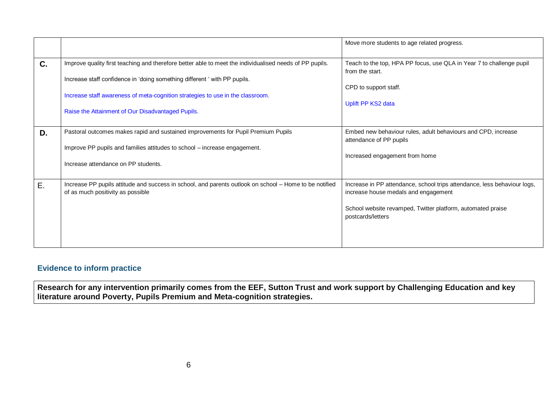|    |                                                                                                                                             | Move more students to age related progress.                                                                      |
|----|---------------------------------------------------------------------------------------------------------------------------------------------|------------------------------------------------------------------------------------------------------------------|
| C. | Improve quality first teaching and therefore better able to meet the individualised needs of PP pupils.                                     | Teach to the top, HPA PP focus, use QLA in Year 7 to challenge pupil<br>from the start.                          |
|    | Increase staff confidence in 'doing something different ' with PP pupils.                                                                   |                                                                                                                  |
|    | Increase staff awareness of meta-cognition strategies to use in the classroom.                                                              | CPD to support staff.                                                                                            |
|    | Raise the Attainment of Our Disadvantaged Pupils.                                                                                           | Uplift PP KS2 data                                                                                               |
|    |                                                                                                                                             |                                                                                                                  |
| D. | Pastoral outcomes makes rapid and sustained improvements for Pupil Premium Pupils                                                           | Embed new behaviour rules, adult behaviours and CPD, increase                                                    |
|    | Improve PP pupils and families attitudes to school - increase engagement.                                                                   | attendance of PP pupils                                                                                          |
|    | Increase attendance on PP students.                                                                                                         | Increased engagement from home                                                                                   |
|    |                                                                                                                                             |                                                                                                                  |
| Ε. | Increase PP pupils attitude and success in school, and parents outlook on school - Home to be notified<br>of as much positivity as possible | Increase in PP attendance, school trips attendance, less behaviour logs,<br>increase house medals and engagement |
|    |                                                                                                                                             | School website revamped, Twitter platform, automated praise<br>postcards/letters                                 |
|    |                                                                                                                                             |                                                                                                                  |

#### **Evidence to inform practice**

**Research for any intervention primarily comes from the EEF, Sutton Trust and work support by Challenging Education and key literature around Poverty, Pupils Premium and Meta-cognition strategies.**